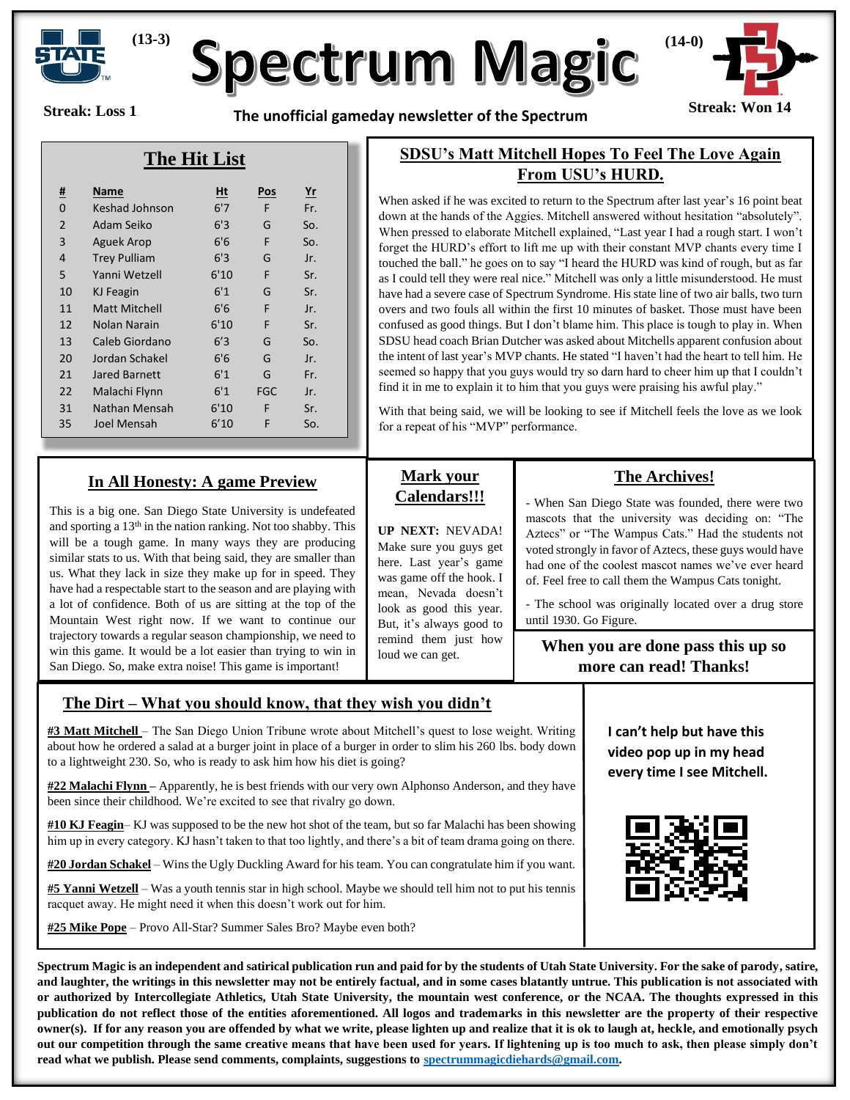

# **Spectrum Magic**

**Streak: Loss 1**

**Streak: Won 14 The unofficial gameday newsletter of the Spectrum** 



#### **The Hit List**

| <u>#</u>       | Name                 | Ht   | <b>Pos</b> | $r$ |
|----------------|----------------------|------|------------|-----|
| 0              | Keshad Johnson       | 6'7  | F          | Fr. |
| $\overline{2}$ | Adam Seiko           | 6'3  | G          | So. |
| 3              | <b>Aguek Arop</b>    | 6'6  | F          | So. |
| $\overline{4}$ | <b>Trey Pulliam</b>  | 6'3  | G          | Jr. |
| 5              | Yanni Wetzell        | 6'10 | F          | Sr. |
| 10             | KJ Feagin            | 6'1  | G          | Sr. |
| 11             | <b>Matt Mitchell</b> | 6'6  | F          | Jr. |
| 12             | Nolan Narain         | 6'10 | F          | Sr. |
| 13             | Caleb Giordano       | 6'3  | G          | So. |
| 20             | Jordan Schakel       | 6'6  | G          | Jr. |
| 21             | <b>Jared Barnett</b> | 6'1  | G          | Fr. |
| 22             | Malachi Flynn        | 6'1  | <b>FGC</b> | Jr. |
| 31             | Nathan Mensah        | 6'10 | F          | Sr. |
| 35             | Joel Mensah          | 6'10 | F          | So. |

#### **In All Honesty: A game Preview**

This is a big one. San Diego State University is undefeated and sporting a 13th in the nation ranking. Not too shabby. This will be a tough game. In many ways they are producing similar stats to us. With that being said, they are smaller than us. What they lack in size they make up for in speed. They have had a respectable start to the season and are playing with a lot of confidence. Both of us are sitting at the top of the Mountain West right now. If we want to continue our trajectory towards a regular season championship, we need to win this game. It would be a lot easier than trying to win in San Diego. So, make extra noise! This game is important!

## **SDSU's Matt Mitchell Hopes To Feel The Love Again From USU's HURD.**

When asked if he was excited to return to the Spectrum after last year's 16 point beat down at the hands of the Aggies. Mitchell answered without hesitation "absolutely". When pressed to elaborate Mitchell explained, "Last year I had a rough start. I won't forget the HURD's effort to lift me up with their constant MVP chants every time I touched the ball." he goes on to say "I heard the HURD was kind of rough, but as far as I could tell they were real nice." Mitchell was only a little misunderstood. He must have had a severe case of Spectrum Syndrome. His state line of two air balls, two turn overs and two fouls all within the first 10 minutes of basket. Those must have been confused as good things. But I don't blame him. This place is tough to play in. When SDSU head coach Brian Dutcher was asked about Mitchells apparent confusion about the intent of last year's MVP chants. He stated "I haven't had the heart to tell him. He seemed so happy that you guys would try so darn hard to cheer him up that I couldn't find it in me to explain it to him that you guys were praising his awful play."

With that being said, we will be looking to see if Mitchell feels the love as we look for a repeat of his "MVP" performance.

#### **Mark your Calendars!!!**

**UP NEXT:** NEVADA! Make sure you guys get here. Last year's game was game off the hook. I mean, Nevada doesn't look as good this year. But, it's always good to remind them just how loud we can get.

#### **The Archives!**

- When San Diego State was founded, there were two mascots that the university was deciding on: "The Aztecs" or "The Wampus Cats." Had the students not voted strongly in favor of Aztecs, these guys would have had one of the coolest mascot names we've ever heard of. Feel free to call them the Wampus Cats tonight.

- The school was originally located over a drug store until 1930. Go Figure.

#### **When you are done pass this up so more can read! Thanks!**

#### **The Dirt – What you should know, that they wish you didn't**

**#3 Matt Mitchell** – The San Diego Union Tribune wrote about Mitchell's quest to lose weight. Writing about how he ordered a salad at a burger joint in place of a burger in order to slim his 260 lbs. body down to a lightweight 230. So, who is ready to ask him how his diet is going?

**#22 Malachi Flynn –** Apparently, he is best friends with our very own Alphonso Anderson, and they have been since their childhood. We're excited to see that rivalry go down.

**#10 KJ Feagin**– KJ was supposed to be the new hot shot of the team, but so far Malachi has been showing him up in every category. KJ hasn't taken to that too lightly, and there's a bit of team drama going on there.

**#20 Jordan Schakel** – Wins the Ugly Duckling Award for his team. You can congratulate him if you want.

**#5 Yanni Wetzell** – Was a youth tennis star in high school. Maybe we should tell him not to put his tennis racquet away. He might need it when this doesn't work out for him.

**#25 Mike Pope** – Provo All-Star? Summer Sales Bro? Maybe even both?

**Spectrum Magic is an independent and satirical publication run and paid for by the students of Utah State University. For the sake of parody, satire, and laughter, the writings in this newsletter may not be entirely factual, and in some cases blatantly untrue. This publication is not associated with or authorized by Intercollegiate Athletics, Utah State University, the mountain west conference, or the NCAA. The thoughts expressed in this publication do not reflect those of the entities aforementioned. All logos and trademarks in this newsletter are the property of their respective owner(s). If for any reason you are offended by what we write, please lighten up and realize that it is ok to laugh at, heckle, and emotionally psych out our competition through the same creative means that have been used for years. If lightening up is too much to ask, then please simply don't read what we publish. Please send comments, complaints, suggestions to [spectrummagicdiehards@gmail.com.](mailto:spectrummagicdiehards@gmail.com)**

**I can't help but have this video pop up in my head every time I see Mitchell.**